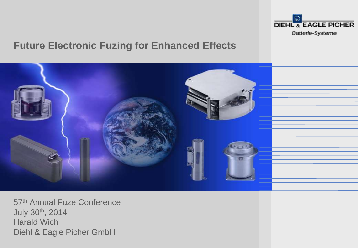

## **Future Electronic Fuzing for Enhanced Effects**



57th Annual Fuze Conference July 30th, 2014 Harald Wich Diehl & Eagle Picher GmbH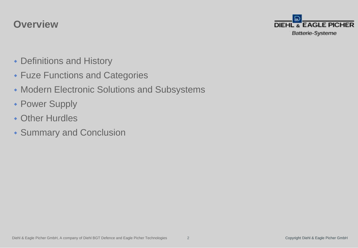## **Overview**



- Definitions and History
- Fuze Functions and Categories
- Modern Electronic Solutions and Subsystems
- Power Supply
- Other Hurdles
- Summary and Conclusion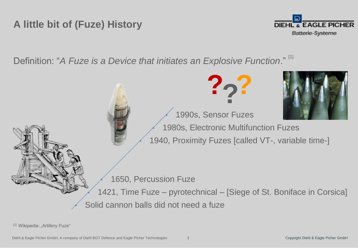## **A little bit of (Fuze) History**



Definition: "A Fuze is a Device that initiates an Explosive Function."<sup>[1]</sup>



[1] Wikipedia: "Artillery Fuze"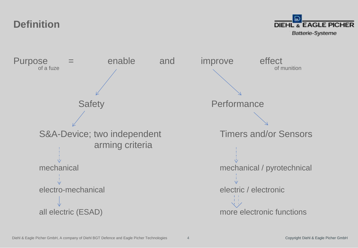**Definition**



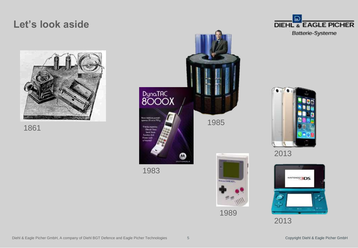## **Let's look aside**











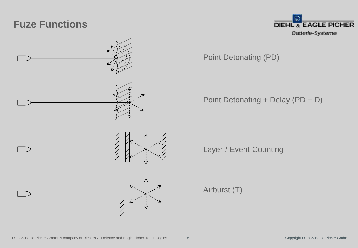## **Fuze Functions**



۳р. **DIEHL & EAGLE PICHER** Batterie-Systeme

Point Detonating (PD)

Point Detonating + Delay (PD + D)

Layer-/ Event-Counting

Airburst (T)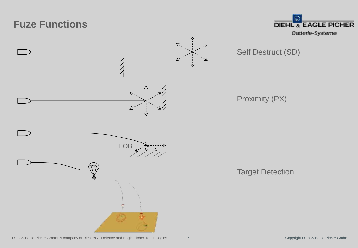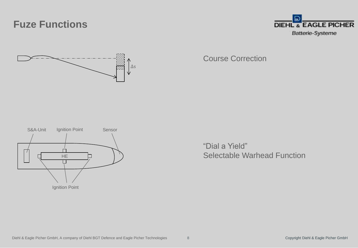## **Fuze Functions**





Course Correction



"Dial a Yield" Selectable Warhead Function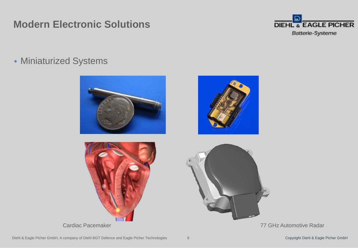## **Modern Electronic Solutions**



Miniaturized Systems

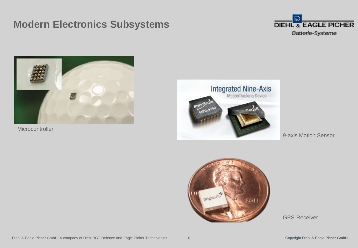## **Modern Electronics Subsystems**





**Microcontroller** 



9-axis Motion Sensor



GPS-Receiver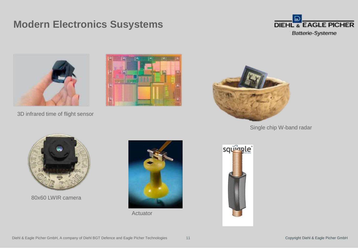## **Modern Electronics Susystems**





3D infrared time of flight sensor





Single chip W-band radar



80x60 LWIR camera



Actuator

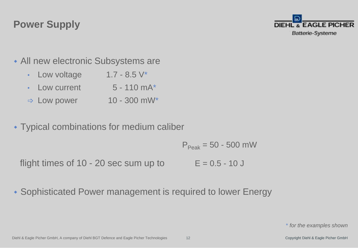## **Power Supply**



- All new electronic Subsystems are
	- Low voltage  $1.7 8.5$  V<sup>\*</sup>
	- Low current  $5 110$  mA $*$
	- $\Rightarrow$  Low power 10 300 mW\*
- Typical combinations for medium caliber

 $P_{\text{Peak}} = 50 - 500$  mW

flight times of  $10 - 20$  sec sum up to  $E = 0.5 - 10$  J

Sophisticated Power management is required to lower Energy

\* *for the examples shown*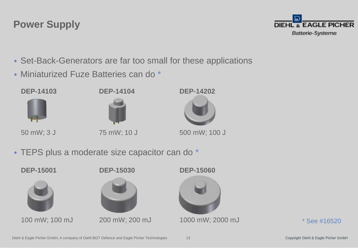### **DEP-14104 DEP-14103**

Miniaturized Fuze Batteries can do \*



**Power Supply**

Set-Back-Generators are far too small for these applications

50 mW; 3 J

75 mW; 10 J



**DEP-14202**

TEPS plus a moderate size capacitor can do \*



\* See #16520

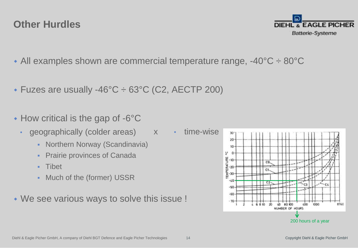#### Diehl & Eagle Picher GmbH, A company of Diehl BGT Defence and Eagle Picher Technologies

## **Other Hurdles**

- All examples shown are commercial temperature range, -40°C ÷ 80°C
- Fuzes are usually -46°C ÷ 63°C (C2, AECTP 200)
- $\cdot$  How critical is the gap of -6 $\degree$ C
	- geographically (colder areas)
		- Northern Norway (Scandinavia)
		- Prairie provinces of Canada
		- Tibet
		- Much of the (former) USSR
- We see various ways to solve this issue !

• time-wise x



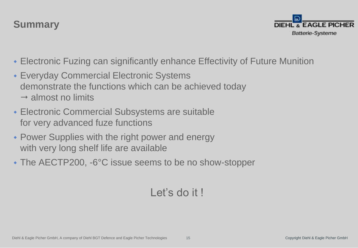## **Summary**



- Electronic Fuzing can significantly enhance Effectivity of Future Munition
- Everyday Commercial Electronic Systems demonstrate the functions which can be achieved today  $\rightarrow$  almost no limits
- Electronic Commercial Subsystems are suitable for very advanced fuze functions
- Power Supplies with the right power and energy with very long shelf life are available
- The AECTP200, -6°C issue seems to be no show-stopper

## Let's do it !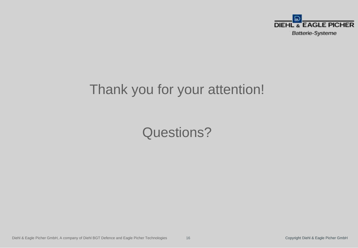

# Thank you for your attention!

# Questions?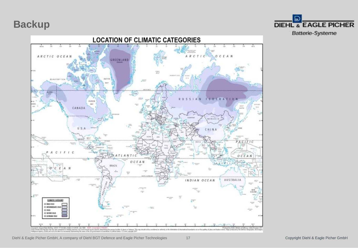### **Backup**



Ð **DIEHL & EAGLE PICHER** Batterie-Systeme